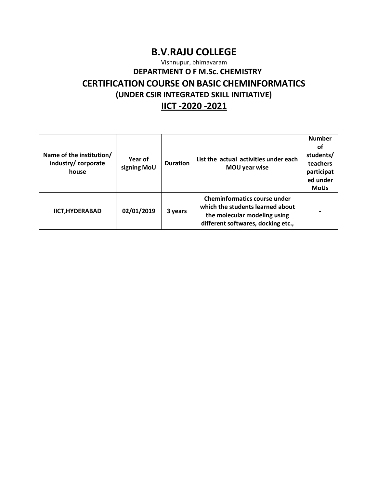# **B.V.RAJU COLLEGE**

Vishnupur, bhimavaram

### **DEPARTMENT O F M.Sc. CHEMISTRY**

# **CERTIFICATION COURSE ONBASIC CHEMINFORMATICS**

**(UNDER CSIR INTEGRATED SKILL INITIATIVE)**

## **IICT -2020 -2021**

| Name of the institution/<br>industry/corporate<br>house | Year of<br>signing MoU | <b>Duration</b> | List the actual activities under each<br>MOU year wise                                                                                        | <b>Number</b><br>οt<br>students/<br>teachers<br>participat<br>ed under<br><b>MoUs</b> |
|---------------------------------------------------------|------------------------|-----------------|-----------------------------------------------------------------------------------------------------------------------------------------------|---------------------------------------------------------------------------------------|
| <b>IICT, HYDERABAD</b>                                  | 02/01/2019             | 3 years         | <b>Cheminformatics course under</b><br>which the students learned about<br>the molecular modeling using<br>different softwares, docking etc., |                                                                                       |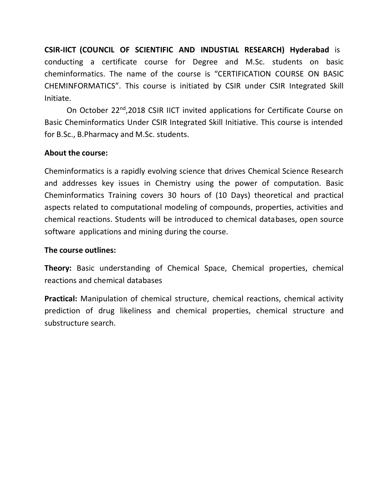**CSIR-IICT (COUNCIL OF SCIENTIFIC AND INDUSTIAL RESEARCH) Hyderabad** is conducting a certificate course for Degree and M.Sc. students on basic cheminformatics. The name of the course is "CERTIFICATION COURSE ON BASIC CHEMINFORMATICS". This course is initiated by CSIR under CSIR Integrated Skill Initiate.

On October 22nd,2018 CSIR IICT invited applications for Certificate Course on Basic Cheminformatics Under CSIR Integrated Skill Initiative. This course is intended for B.Sc., B.Pharmacy and M.Sc. students.

## **About the course:**

Cheminformatics is a rapidly evolving science that drives Chemical Science Research and addresses key issues in Chemistry using the power of computation. Basic Cheminformatics Training covers 30 hours of (10 Days) theoretical and practical aspects related to computational modeling of compounds, properties, activities and chemical reactions. Students will be introduced to chemical databases, open source software applications and mining during the course.

## **The course outlines:**

**Theory:** Basic understanding of Chemical Space, Chemical properties, chemical reactions and chemical databases

**Practical:** Manipulation of chemical structure, chemical reactions, chemical activity prediction of drug likeliness and chemical properties, chemical structure and substructure search.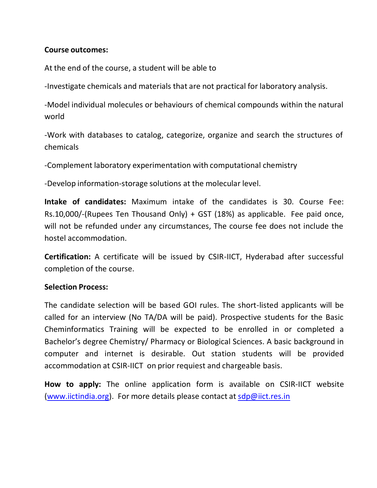### **Course outcomes:**

At the end of the course, a student will be able to

-Investigate chemicals and materials that are not practical for laboratory analysis.

-Model individual molecules or behaviours of chemical compounds within the natural world

-Work with databases to catalog, categorize, organize and search the structures of chemicals

-Complement laboratory experimentation with computational chemistry

-Develop information-storage solutions at the molecular level.

**Intake of candidates:** Maximum intake of the candidates is 30. Course Fee: Rs.10,000/-(Rupees Ten Thousand Only) + GST (18%) as applicable. Fee paid once, will not be refunded under any circumstances, The course fee does not include the hostel accommodation.

**Certification:** A certificate will be issued by CSIR-IICT, Hyderabad after successful completion of the course.

## **Selection Process:**

The candidate selection will be based GOI rules. The short-listed applicants will be called for an interview (No TA/DA will be paid). Prospective students for the Basic Cheminformatics Training will be expected to be enrolled in or completed a Bachelor's degree Chemistry/ Pharmacy or Biological Sciences. A basic background in computer and internet is desirable. Out station students will be provided accommodation at CSIR-IICT on prior requiest and chargeable basis.

**How to apply:** The online application form is available on CSIR-IICT website [\(www.iictindia.org\)](http://www.iictindia.org/). For more details please contact at  $\frac{\text{d}p}{\omega}$ iict.res.in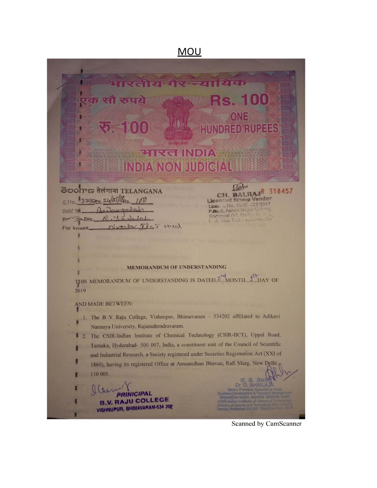## **MOU**



#### **MEMORANDUM OF UNDERSTANDING**

THIS MEMORANDUM OF UNDERSTANDING IS DATED.<sup>274</sup>MONTH....<sup>45</sup>LDAY OF 2019

#### AND MADE BETWEEN:

- 1. The B V Raju College, Vishnupur, Bhimavaram 534202 affiliated to Adikavi Nannaya University, Rajamahendravaram.
- 2. The CSIR-Indian Institute of Chemical Technology (CSIR-IICT), Uppal Road, B Tarnaka, Hyderabad- 500 007, India, a constituent unit of the Council of Scientific and Industrial Research, a Society registered under Societies Registration Act (XXI of 1860), having its registered Office at Anusandhan Bhavan, Rafi Marg, New Delhi

110 001.

**INICIPAL B.V. RAJU COLLEGE** VISHNUPUR, BHIMAVARAM-534 202

Scanned by CamScanner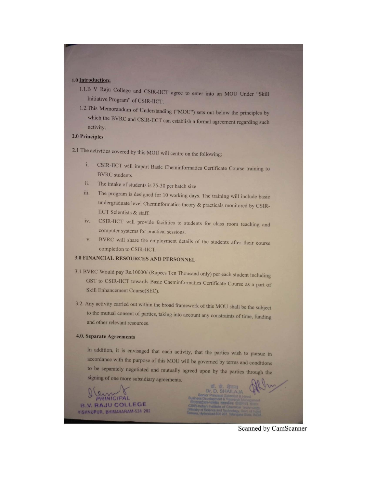#### 1.0 Introduction:

- 1.1.B V Raju College and CSIR-IICT agree to enter into an MOU Under "Skill Initiative Program" of CSIR-IICT.
- 1.2. This Memorandum of Understanding ("MOU") sets out below the principles by which the BVRC and CSIR-IICT can establish a formal agreement regarding such activity.

#### 2.0 Principles

2.1 The activities covered by this MOU will centre on the following:

- CSIR-IICT will impart Basic Cheminformatics Certificate Course training to i. **BVRC** students.
- The intake of students is 25-30 per batch size ii.
- The program is designed for 10 working days. The training will include basic iii. undergraduate level Cheminformatics theory & practicals monitored by CSIR-**IICT** Scientists & staff.
- CSIR-IICT will provide facilities to students for class room teaching and iv. computer systems for practical sessions.
- BVRC will share the employment details of the students after their course V. completion to CSIR-IICT.

#### 3.0 FINANCIAL RESOURCES AND PERSONNEL

- 3.1 BVRC Would pay Rs.10000/-(Rupees Ten Thousand only) per each student including GST to CSIR-IICT towards Basic Cheminformatics Certificate Course as a part of Skill Enhancement Course(SEC).
- 3.2. Any activity carried out within the broad framework of this MOU shall be the subject to the mutual consent of parties, taking into account any constraints of time, funding and other relevant resources.

#### **4.0. Separate Agreements**

In addition, it is envisaged that each activity, that the parties wish to pursue in accordance with the purpose of this MOU will be governed by terms and conditions to be separately negotiated and mutually agreed upon by the parties through the signing of one more subsidiary agreements.

**B.V. RAJU COLLEGE** VISHNUPUR, BHIMAVARAM-534 202

Scanned by CamScanner